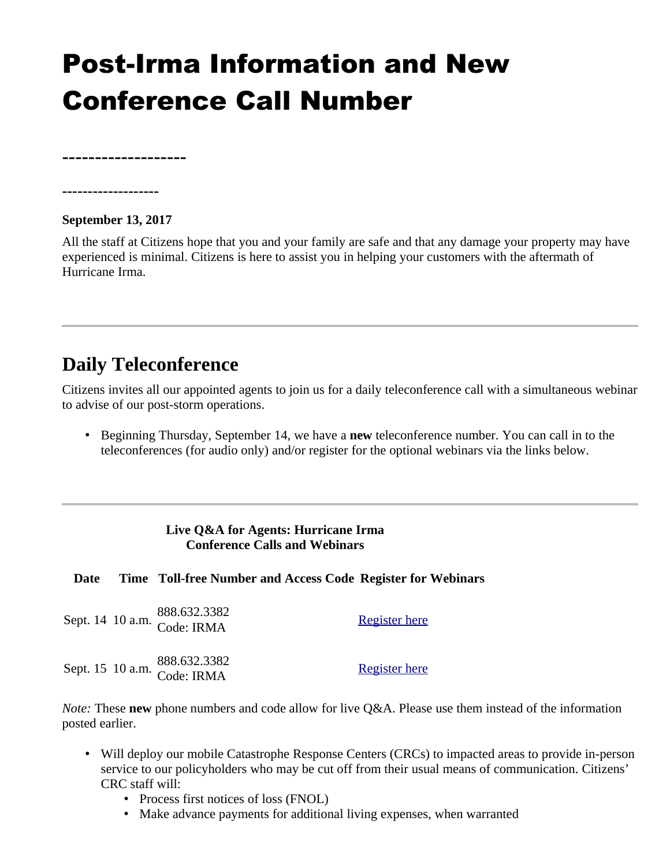# Post-Irma Information and New Conference Call Number

**-------------------**

#### **September 13, 2017**

**-------------------**

All the staff at Citizens hope that you and your family are safe and that any damage your property may have experienced is minimal. Citizens is here to assist you in helping your customers with the aftermath of Hurricane Irma.

### **Daily Teleconference**

Citizens invites all our appointed agents to join us for a daily teleconference call with a simultaneous webinar to advise of our post-storm operations.

• Beginning Thursday, September 14, we have a **new** teleconference number. You can call in to the teleconferences (for audio only) and/or register for the optional webinars via the links below.

#### **Live Q&A for Agents: Hurricane Irma Conference Calls and Webinars**

#### **Date Time Toll-free Number and Access Code Register for Webinars**

|  | Sept. 14 10 a.m. 888.632.3382<br>Code: IRMA | <b>Register here</b> |
|--|---------------------------------------------|----------------------|
|  | Sept. 15 10 a.m. 888.632.3382<br>Code: IRMA | <b>Register here</b> |

*Note:* These **new** phone numbers and code allow for live Q&A. Please use them instead of the information posted earlier.

- Will deploy our mobile Catastrophe Response Centers (CRCs) to impacted areas to provide in-person service to our policyholders who may be cut off from their usual means of communication. Citizens' CRC staff will:
	- Process first notices of loss (FNOL)
	- Make advance payments for additional living expenses, when warranted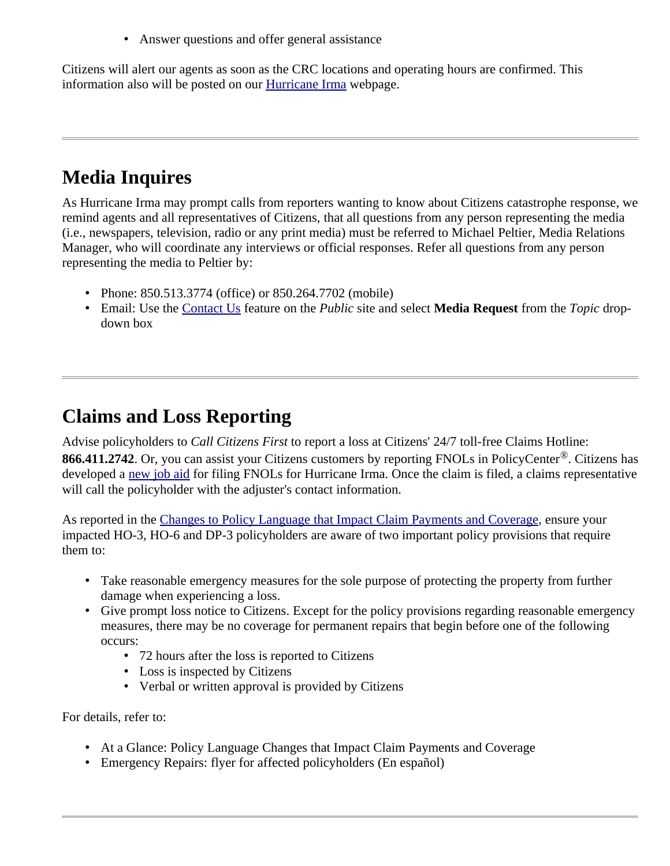• Answer questions and offer general assistance

Citizens will alert our agents as soon as the CRC locations and operating hours are confirmed. This information also will be posted on our **Hurricane Irma** webpage.

## **Media Inquires**

As Hurricane Irma may prompt calls from reporters wanting to know about Citizens catastrophe response, we remind agents and all representatives of Citizens, that all questions from any person representing the media (i.e., newspapers, television, radio or any print media) must be referred to Michael Peltier, Media Relations Manager, who will coordinate any interviews or official responses. Refer all questions from any person representing the media to Peltier by:

- Phone: 850.513.3774 (office) or 850.264.7702 (mobile)
- Email: Use the [Contact Us](https://www.citizensfla.com/contactus) feature on the *Public* site and select **Media Request** from the *Topic* dropdown box

### **Claims and Loss Reporting**

Advise policyholders to *Call Citizens First* to report a loss at Citizens' 24/7 toll-free Claims Hotline: **866.411.2742**. Or, you can assist your Citizens customers by reporting FNOLs in PolicyCenter®. Citizens has developed a [new job aid](https://securesupport.citizensfla.com/rd?1=AvMA~wqPDv8S~wP~GkAU~yKuNvsoxS77Mv81~z7~Pv~8&2=1562) for filing FNOLs for Hurricane Irma. Once the claim is filed, a claims representative will call the policyholder with the adjuster's contact information.

As reported in the [Changes to Policy Language that Impact Claim Payments and Coverage](https://www.citizensfla.com/-/20160427-changes-to-policy-language-that-impact-claim-payments-and-coverage), ensure your impacted HO-3, HO-6 and DP-3 policyholders are aware of two important policy provisions that require them to:

- Take reasonable emergency measures for the sole purpose of protecting the property from further damage when experiencing a loss.
- Give prompt loss notice to Citizens. Except for the policy provisions regarding reasonable emergency measures, there may be no coverage for permanent repairs that begin before one of the following occurs:
	- 72 hours after the loss is reported to Citizens
	- Loss is inspected by Citizens
	- Verbal or written approval is provided by Citizens

For details, refer to:

- At a Glance: Policy Language Changes that Impact Claim Payments and Coverage
- Emergency Repairs: flyer for affected policyholders (En español)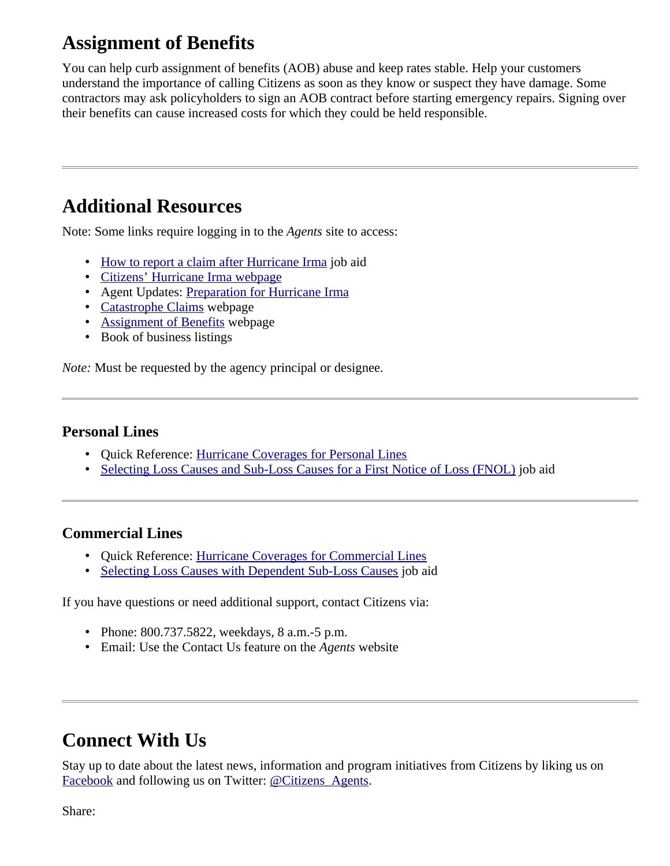# **Assignment of Benefits**

You can help curb assignment of benefits (AOB) abuse and keep rates stable. Help your customers understand the importance of calling Citizens as soon as they know or suspect they have damage. Some contractors may ask policyholders to sign an AOB contract before starting emergency repairs. Signing over their benefits can cause increased costs for which they could be held responsible.

### **Additional Resources**

Note: Some links require logging in to the *Agents* site to access:

- • [How to report a claim after Hurricane Irma](https://www.citizensfla.com/documents/20702/0/Reporting+a+Claim+after+Hurricane+Irma/5f865488-5e6a-473e-aa9b-f346e85dca6d) job aid
- [Citizens' Hurricane Irma webpage](http://www.citizensfla.com/hurricanes)
- Agent Updates: [Preparation for Hurricane Irma](https://www.citizensfla.com/-/20170906-preparation-for-hurricane-irma)
- • [Catastrophe Claims](https://www.citizensfla.com/catastrophe-claims) webpage
- • [Assignment of Benefits](https://www.citizensfla.com/aob) webpage
- Book of business listings

*Note:* Must be requested by the agency principal or designee.

#### **Personal Lines**

- Quick Reference: [Hurricane Coverages for Personal Lines](https://securesupport.citizensfla.com/ci/fattach/get/401066/0/filename/PL+Hurricane+Coverage+Quick+Reference.pdf)
- • [Selecting Loss Causes and Sub-Loss Causes for a First Notice of Loss \(FNOL\)](http://citizenstraining.com/courses/core/CIS_Resources/Job_Aids/PolicyCenter/PersonalLines/PCPL_Selecting_Loss_Causes_and_Sub_Loss_Causes_JA.pdf) job aid

### **Commercial Lines**

- Quick Reference: [Hurricane Coverages for Commercial Lines](https://securesupport.citizensfla.com/ci/fattach/get/400924/0/filename/CL+Hurricane+Coverage+Quick+Reference_090617+.pdf)
- • [Selecting Loss Causes with Dependent Sub-Loss Causes](http://citizenstraining.com/courses/core/CIS_Resources/Job_Aids/PolicyCenter/CommercialLines/LossSubLossJA.pdf) job aid

If you have questions or need additional support, contact Citizens via:

- Phone: 800.737.5822, weekdays, 8 a.m.-5 p.m.
- Email: Use the Contact Us feature on the *Agents* website

### **Connect With Us**

Stay up to date about the latest news, information and program initiatives from Citizens by liking us on [Facebook](https://www.facebook.com/pages/Citizens-Property-Insurance-Corporation/313353039304?ref=br_tf) and following us on Twitter: [@Citizens\\_Agents](https://twitter.com/citizens_agents).

Share: